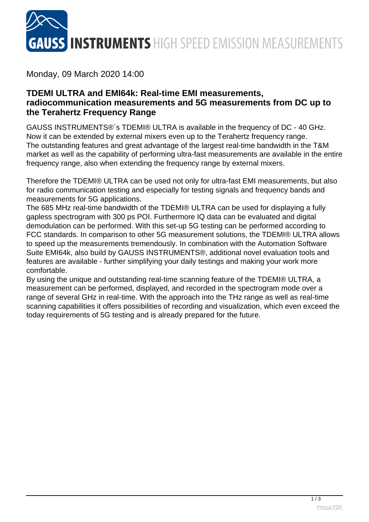

## Monday, 09 March 2020 14:00

## **TDEMI ULTRA and EMI64k: Real-time EMI measurements, radiocommunication measurements and 5G measurements from DC up to the Terahertz Frequency Range**

GAUSS INSTRUMENTS®´s TDEMI® ULTRA is available in the frequency of DC - 40 GHz. Now it can be extended by external mixers even up to the Terahertz frequency range. The outstanding features and great advantage of the largest real-time bandwidth in the T&M market as well as the capability of performing ultra-fast measurements are available in the entire frequency range, also when extending the frequency range by external mixers.

Therefore the TDEMI® ULTRA can be used not only for ultra-fast EMI measurements, but also for radio communication testing and especially for testing signals and frequency bands and measurements for 5G applications.

The 685 MHz real-time bandwidth of the TDEMI® ULTRA can be used for displaying a fully gapless spectrogram with 300 ps POI. Furthermore IQ data can be evaluated and digital demodulation can be performed. With this set-up 5G testing can be performed according to FCC standards. In comparison to other 5G measurement solutions, the TDEMI® ULTRA allows to speed up the measurements tremendously. In combination with the Automation Software Suite EMI64k, also build by GAUSS INSTRUMENTS®, additional novel evaluation tools and features are available - further simplifying your daily testings and making your work more comfortable.

By using the unique and outstanding real-time scanning feature of the TDEMI® ULTRA, a measurement can be performed, displayed, and recorded in the spectrogram mode over a range of several GHz in real-time. With the approach into the THz range as well as real-time scanning capabilities it offers possibilities of recording and visualization, which even exceed the today requirements of 5G testing and is already prepared for the future.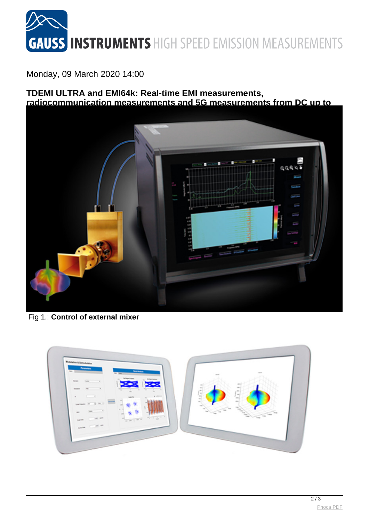

Monday, 09 March 2020 14:00

**TDEMI ULTRA and EMI64k: Real-time EMI measurements, radiocommunication measurements and 5G measurements from DC up to**



Fig 1.: **Control of external mixer**